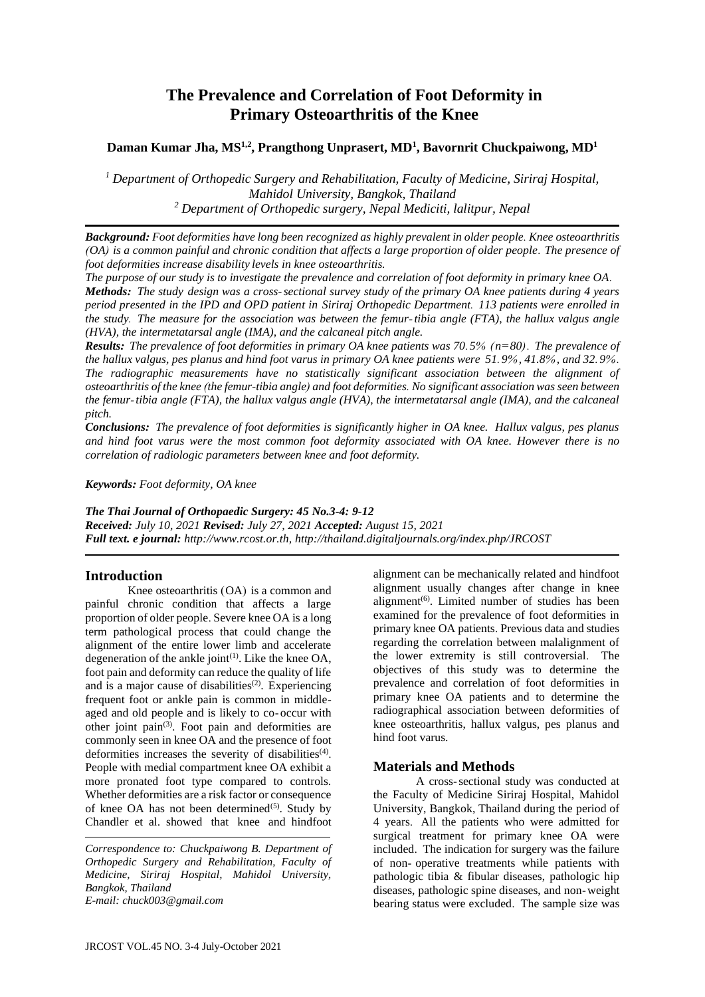# **The Prevalence and Correlation of Foot Deformity in Primary Osteoarthritis of the Knee**

# **Daman Kumar Jha, MS1,2 , Prangthong Unprasert, MD<sup>1</sup> , Bavornrit Chuckpaiwong, MD<sup>1</sup>**

*<sup>1</sup> Department of Orthopedic Surgery and Rehabilitation, Faculty of Medicine, Siriraj Hospital, Mahidol University, Bangkok, Thailand <sup>2</sup> Department of Orthopedic surgery, Nepal Mediciti, lalitpur, Nepal* 

*Background: Foot deformities have long been recognized as highly prevalent in older people. Knee osteoarthritis (OA) is a common painful and chronic condition that affects a large proportion of older people. The presence of foot deformities increase disability levels in knee osteoarthritis.*

*The purpose of our study is to investigate the prevalence and correlation of foot deformity in primary knee OA. Methods: The study design was a cross-sectional survey study of the primary OA knee patients during 4 years period presented in the IPD and OPD patient in Siriraj Orthopedic Department. 113 patients were enrolled in the study. The measure for the association was between the femur-tibia angle (FTA), the hallux valgus angle (HVA), the intermetatarsal angle (IMA), and the calcaneal pitch angle.*

*Results: The prevalence of foot deformities in primary OA knee patients was 70.5% (n=80). The prevalence of the hallux valgus, pes planus and hind foot varus in primary OA knee patients were 51.9%, 41.8%, and 32.9%. The radiographic measurements have no statistically significant association between the alignment of osteoarthritis of the knee (the femur-tibia angle) and foot deformities. No significant association was seen between the femur-tibia angle (FTA), the hallux valgus angle (HVA), the intermetatarsal angle (IMA), and the calcaneal pitch.*

*Conclusions: The prevalence of foot deformities is significantly higher in OA knee. Hallux valgus, pes planus and hind foot varus were the most common foot deformity associated with OA knee. However there is no correlation of radiologic parameters between knee and foot deformity.* 

*Keywords: Foot deformity, OA knee* 

*The Thai Journal of Orthopaedic Surgery: 45 No.3-4: 9-12*

*Received: July 10, 2021 Revised: July 27, 2021 Accepted: August 15, 2021 Full text. e journal: [http://www.rcost.or.th,](http://www.rcost.or.th/journal) http://thailand.digitaljournals.org/index.php/JRCOST*

# **Introduction**

Knee osteoarthritis (OA) is a common and painful chronic condition that affects a large proportion of older people. Severe knee OA is a long term pathological process that could change the alignment of the entire lower limb and accelerate degeneration of the ankle joint<sup>(1)</sup>. Like the knee OA, foot pain and deformity can reduce the quality of life and is a major cause of disabilities<sup>(2)</sup>. Experiencing frequent foot or ankle pain is common in middleaged and old people and is likely to co-occur with other joint pain<sup>(3)</sup>. Foot pain and deformities are commonly seen in knee OA and the presence of foot deformities increases the severity of disabilities<sup>(4)</sup>. People with medial compartment knee OA exhibit a more pronated foot type compared to controls. Whether deformities are a risk factor or consequence of knee OA has not been determined $(5)$ . Study by Chandler et al. showed that knee and hindfoot

*Correspondence to: Chuckpaiwong B. Department of Orthopedic Surgery and Rehabilitation, Faculty of Medicine, Siriraj Hospital, Mahidol University, Bangkok, Thailand E-mail: chuck003@gmail.com*

alignment can be mechanically related and hindfoot alignment usually changes after change in knee alignment<sup>(6)</sup>. Limited number of studies has been examined for the prevalence of foot deformities in primary knee OA patients. Previous data and studies regarding the correlation between malalignment of the lower extremity is still controversial. The objectives of this study was to determine the prevalence and correlation of foot deformities in primary knee OA patients and to determine the radiographical association between deformities of knee osteoarthritis, hallux valgus, pes planus and hind foot varus.

# **Materials and Methods**

A cross-sectional study was conducted at the Faculty of Medicine Siriraj Hospital, Mahidol University, Bangkok, Thailand during the period of 4 years. All the patients who were admitted for surgical treatment for primary knee OA were included. The indication for surgery was the failure of non- operative treatments while patients with pathologic tibia & fibular diseases, pathologic hip diseases, pathologic spine diseases, and non-weight bearing status were excluded. The sample size was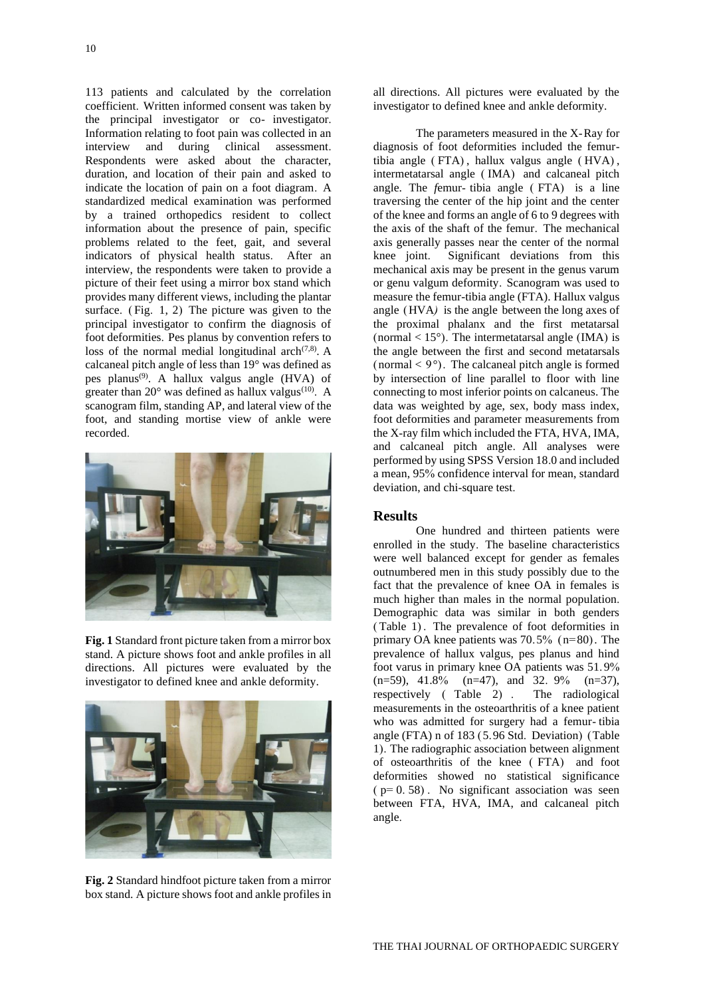113 patients and calculated by the correlation coefficient. Written informed consent was taken by the principal investigator or co- investigator. Information relating to foot pain was collected in an interview and during clinical assessment. Respondents were asked about the character, duration, and location of their pain and asked to indicate the location of pain on a foot diagram. A standardized medical examination was performed by a trained orthopedics resident to collect information about the presence of pain, specific problems related to the feet, gait, and several indicators of physical health status. After an interview, the respondents were taken to provide a picture of their feet using a mirror box stand which provides many different views, including the plantar surface. (Fig. 1, 2) The picture was given to the principal investigator to confirm the diagnosis of foot deformities. Pes planus by convention refers to loss of the normal medial longitudinal arch $(7.8)$ . A calcaneal pitch angle of less than 19° was defined as pes planus(9). A hallux valgus angle (HVA) of greater than  $20^{\circ}$  was defined as hallux valgus<sup>(10)</sup>. A scanogram film, standing AP, and lateral view of the foot, and standing mortise view of ankle were recorded.



**Fig. 1** Standard front picture taken from a mirror box stand. A picture shows foot and ankle profiles in all directions. All pictures were evaluated by the investigator to defined knee and ankle deformity.



**Fig. 2** Standard hindfoot picture taken from a mirror box stand. A picture shows foot and ankle profiles in

all directions. All pictures were evaluated by the investigator to defined knee and ankle deformity.

The parameters measured in the X-Ray for diagnosis of foot deformities included the femurtibia angle ( FTA) , hallux valgus angle ( HVA) , intermetatarsal angle ( IMA) and calcaneal pitch angle. The *f*emur- tibia angle ( FTA) is a line traversing the center of the hip joint and the center of the knee and forms an angle of 6 to 9 degrees with the axis of the shaft of the femur. The mechanical axis generally passes near the center of the normal knee joint. Significant deviations from this mechanical axis may be present in the genus varum or genu valgum deformity. Scanogram was used to measure the femur-tibia angle (FTA). Hallux valgus angle (HVA*)* is the angle between the long axes of the proximal phalanx and the first metatarsal (normal  $< 15^{\circ}$ ). The intermetatarsal angle (IMA) is the angle between the first and second metatarsals (normal  $\lt 9^\circ$ ). The calcaneal pitch angle is formed by intersection of line parallel to floor with line connecting to most inferior points on calcaneus. The data was weighted by age, sex, body mass index, foot deformities and parameter measurements from the X-ray film which included the FTA, HVA, IMA, and calcaneal pitch angle. All analyses were performed by using SPSS Version 18.0 and included a mean, 95% confidence interval for mean, standard deviation, and chi-square test.

# **Results**

One hundred and thirteen patients were enrolled in the study. The baseline characteristics were well balanced except for gender as females outnumbered men in this study possibly due to the fact that the prevalence of knee OA in females is much higher than males in the normal population. Demographic data was similar in both genders ( Table 1) . The prevalence of foot deformities in primary OA knee patients was 70.5% (n=80). The prevalence of hallux valgus, pes planus and hind foot varus in primary knee OA patients was 51.9%  $(n=59)$ , 41.8%  $(n=47)$ , and 32. 9%  $(n=37)$ , respectively ( Table 2) . The radiological measurements in the osteoarthritis of a knee patient who was admitted for surgery had a femur- tibia angle (FTA) n of 183 (5.96 Std. Deviation) (Table 1). The radiographic association between alignment of osteoarthritis of the knee ( FTA) and foot deformities showed no statistical significance  $(p= 0.58)$ . No significant association was seen between FTA, HVA, IMA, and calcaneal pitch angle.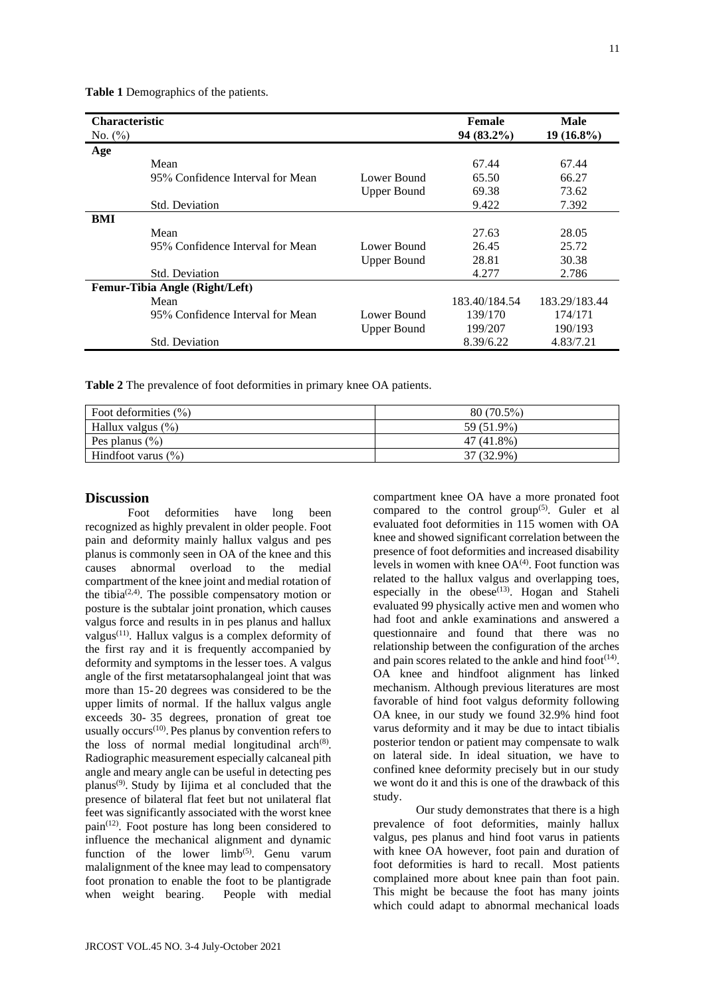| <b>Characteristic</b>          |                                  |                    | Female        | <b>Male</b>   |
|--------------------------------|----------------------------------|--------------------|---------------|---------------|
| No. $(\% )$                    |                                  |                    | 94 (83.2%)    | $19(16.8\%)$  |
| Age                            |                                  |                    |               |               |
|                                | Mean                             |                    | 67.44         | 67.44         |
|                                | 95% Confidence Interval for Mean | Lower Bound        | 65.50         | 66.27         |
|                                |                                  | <b>Upper Bound</b> | 69.38         | 73.62         |
|                                | Std. Deviation                   |                    | 9.422         | 7.392         |
| BMI                            |                                  |                    |               |               |
|                                | Mean                             |                    | 27.63         | 28.05         |
|                                | 95% Confidence Interval for Mean | Lower Bound        | 26.45         | 25.72         |
|                                |                                  | <b>Upper Bound</b> | 28.81         | 30.38         |
|                                | <b>Std. Deviation</b>            |                    | 4.277         | 2.786         |
| Femur-Tibia Angle (Right/Left) |                                  |                    |               |               |
|                                | Mean                             |                    | 183.40/184.54 | 183.29/183.44 |
|                                | 95% Confidence Interval for Mean | Lower Bound        | 139/170       | 174/171       |
|                                |                                  | <b>Upper Bound</b> | 199/207       | 190/193       |
|                                | <b>Std. Deviation</b>            |                    | 8.39/6.22     | 4.83/7.21     |

**Table 1** Demographics of the patients.

**Table 2** The prevalence of foot deformities in primary knee OA patients.

| Foot deformities $(\% )$ | $80(70.5\%)$ |
|--------------------------|--------------|
| Hallux valgus $(\%)$     | 59 (51.9%)   |
| Pes planus $(\% )$       | 47 (41.8%)   |
| Hindfoot varus $(\% )$   | 37 (32.9%)   |

# **Discussion**

Foot deformities have long been recognized as highly prevalent in older people. Foot pain and deformity mainly hallux valgus and pes planus is commonly seen in OA of the knee and this causes abnormal overload to the medial compartment of the knee joint and medial rotation of the tibia<sup> $(2,4)$ </sup>. The possible compensatory motion or posture is the subtalar joint pronation, which causes valgus force and results in in pes planus and hallux valgus<sup>(11)</sup>. Hallux valgus is a complex deformity of the first ray and it is frequently accompanied by deformity and symptoms in the lesser toes. A valgus angle of the first metatarsophalangeal joint that was more than 15-20 degrees was considered to be the upper limits of normal. If the hallux valgus angle exceeds 30- 35 degrees, pronation of great toe usually occurs<sup>(10)</sup>. Pes planus by convention refers to the loss of normal medial longitudinal arch $(8)$ . Radiographic measurement especially calcaneal pith angle and meary angle can be useful in detecting pes planus(9) . Study by Iijima et al concluded that the presence of bilateral flat feet but not unilateral flat feet was significantly associated with the worst knee pain<sup>(12)</sup>. Foot posture has long been considered to influence the mechanical alignment and dynamic function of the lower  $limb^{(5)}$ . Genu varum malalignment of the knee may lead to compensatory foot pronation to enable the foot to be plantigrade when weight bearing. People with medial

compartment knee OA have a more pronated foot compared to the control group<sup> $(5)$ </sup>. Guler et al evaluated foot deformities in 115 women with OA knee and showed significant correlation between the presence of foot deformities and increased disability levels in women with knee  $OA^{(4)}$ . Foot function was related to the hallux valgus and overlapping toes, especially in the obese<sup> $(13)$ </sup>. Hogan and Staheli evaluated 99 physically active men and women who had foot and ankle examinations and answered a questionnaire and found that there was no relationship between the configuration of the arches and pain scores related to the ankle and hind foot $(14)$ . OA knee and hindfoot alignment has linked mechanism. Although previous literatures are most favorable of hind foot valgus deformity following OA knee, in our study we found 32.9% hind foot varus deformity and it may be due to intact tibialis posterior tendon or patient may compensate to walk on lateral side. In ideal situation, we have to confined knee deformity precisely but in our study we wont do it and this is one of the drawback of this study.

Our study demonstrates that there is a high prevalence of foot deformities, mainly hallux valgus, pes planus and hind foot varus in patients with knee OA however, foot pain and duration of foot deformities is hard to recall. Most patients complained more about knee pain than foot pain. This might be because the foot has many joints which could adapt to abnormal mechanical loads